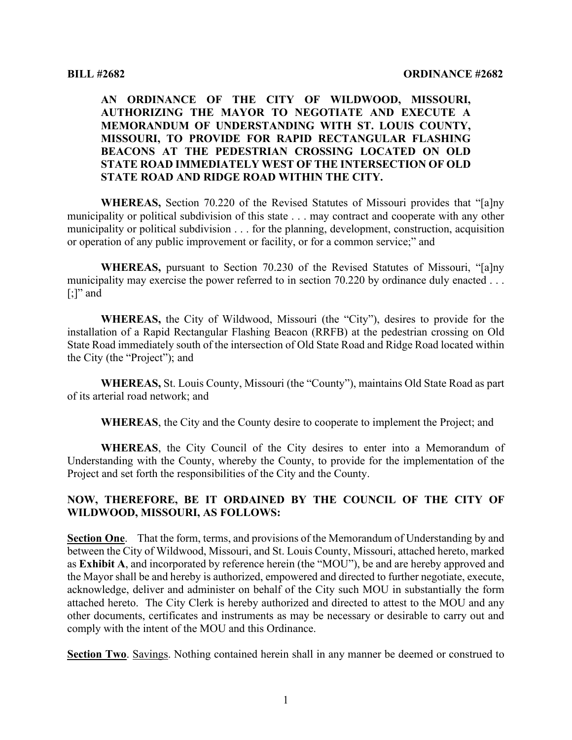# **AN ORDINANCE OF THE CITY OF WILDWOOD, MISSOURI, AUTHORIZING THE MAYOR TO NEGOTIATE AND EXECUTE A MEMORANDUM OF UNDERSTANDING WITH ST. LOUIS COUNTY, MISSOURI, TO PROVIDE FOR RAPID RECTANGULAR FLASHING BEACONS AT THE PEDESTRIAN CROSSING LOCATED ON OLD STATE ROAD IMMEDIATELY WEST OF THE INTERSECTION OF OLD STATE ROAD AND RIDGE ROAD WITHIN THE CITY.**

**WHEREAS,** Section 70.220 of the Revised Statutes of Missouri provides that "[a]ny municipality or political subdivision of this state . . . may contract and cooperate with any other municipality or political subdivision . . . for the planning, development, construction, acquisition or operation of any public improvement or facility, or for a common service;" and

**WHEREAS,** pursuant to Section 70.230 of the Revised Statutes of Missouri, "[a]ny municipality may exercise the power referred to in section 70.220 by ordinance duly enacted ...  $[$ ;]" and

**WHEREAS,** the City of Wildwood, Missouri (the "City"), desires to provide for the installation of a Rapid Rectangular Flashing Beacon (RRFB) at the pedestrian crossing on Old State Road immediately south of the intersection of Old State Road and Ridge Road located within the City (the "Project"); and

**WHEREAS,** St. Louis County, Missouri (the "County"), maintains Old State Road as part of its arterial road network; and

**WHEREAS**, the City and the County desire to cooperate to implement the Project; and

**WHEREAS**, the City Council of the City desires to enter into a Memorandum of Understanding with the County, whereby the County, to provide for the implementation of the Project and set forth the responsibilities of the City and the County.

### **NOW, THEREFORE, BE IT ORDAINED BY THE COUNCIL OF THE CITY OF WILDWOOD, MISSOURI, AS FOLLOWS:**

**Section One**. That the form, terms, and provisions of the Memorandum of Understanding by and between the City of Wildwood, Missouri, and St. Louis County, Missouri, attached hereto, marked as **Exhibit A**, and incorporated by reference herein (the "MOU"), be and are hereby approved and the Mayor shall be and hereby is authorized, empowered and directed to further negotiate, execute, acknowledge, deliver and administer on behalf of the City such MOU in substantially the form attached hereto. The City Clerk is hereby authorized and directed to attest to the MOU and any other documents, certificates and instruments as may be necessary or desirable to carry out and comply with the intent of the MOU and this Ordinance.

**Section Two**. Savings. Nothing contained herein shall in any manner be deemed or construed to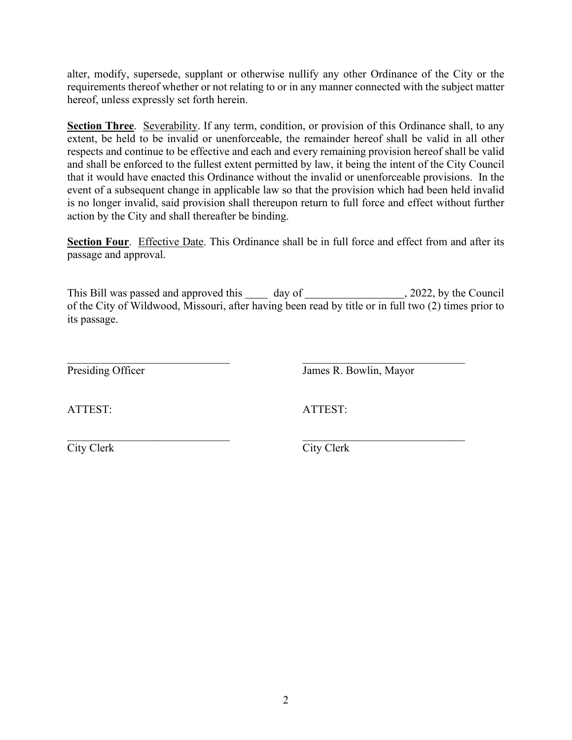alter, modify, supersede, supplant or otherwise nullify any other Ordinance of the City or the requirements thereof whether or not relating to or in any manner connected with the subject matter hereof, unless expressly set forth herein.

Section Three. Severability. If any term, condition, or provision of this Ordinance shall, to any extent, be held to be invalid or unenforceable, the remainder hereof shall be valid in all other respects and continue to be effective and each and every remaining provision hereof shall be valid and shall be enforced to the fullest extent permitted by law, it being the intent of the City Council that it would have enacted this Ordinance without the invalid or unenforceable provisions. In the event of a subsequent change in applicable law so that the provision which had been held invalid is no longer invalid, said provision shall thereupon return to full force and effect without further action by the City and shall thereafter be binding.

**Section Four.** Effective Date. This Ordinance shall be in full force and effect from and after its passage and approval.

This Bill was passed and approved this day of , 2022, by the Council of the City of Wildwood, Missouri, after having been read by title or in full two (2) times prior to its passage.

Presiding Officer James R. Bowlin, Mayor

ATTEST: ATTEST:

City Clerk City Clerk

 $\frac{1}{2}$  ,  $\frac{1}{2}$  ,  $\frac{1}{2}$  ,  $\frac{1}{2}$  ,  $\frac{1}{2}$  ,  $\frac{1}{2}$  ,  $\frac{1}{2}$  ,  $\frac{1}{2}$  ,  $\frac{1}{2}$  ,  $\frac{1}{2}$  ,  $\frac{1}{2}$  ,  $\frac{1}{2}$  ,  $\frac{1}{2}$  ,  $\frac{1}{2}$  ,  $\frac{1}{2}$  ,  $\frac{1}{2}$  ,  $\frac{1}{2}$  ,  $\frac{1}{2}$  ,  $\frac{1$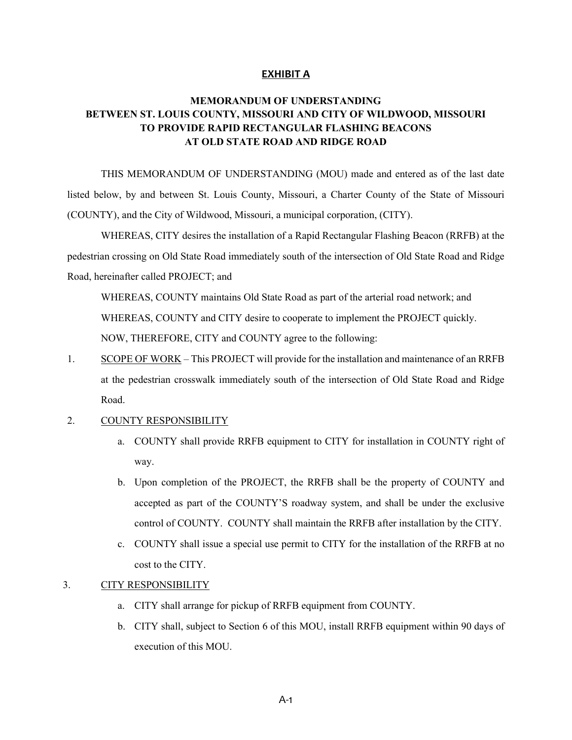#### **EXHIBIT A**

# **MEMORANDUM OF UNDERSTANDING BETWEEN ST. LOUIS COUNTY, MISSOURI AND CITY OF WILDWOOD, MISSOURI TO PROVIDE RAPID RECTANGULAR FLASHING BEACONS AT OLD STATE ROAD AND RIDGE ROAD**

THIS MEMORANDUM OF UNDERSTANDING (MOU) made and entered as of the last date listed below, by and between St. Louis County, Missouri, a Charter County of the State of Missouri (COUNTY), and the City of Wildwood, Missouri, a municipal corporation, (CITY).

WHEREAS, CITY desires the installation of a Rapid Rectangular Flashing Beacon (RRFB) at the pedestrian crossing on Old State Road immediately south of the intersection of Old State Road and Ridge Road, hereinafter called PROJECT; and

WHEREAS, COUNTY maintains Old State Road as part of the arterial road network; and WHEREAS, COUNTY and CITY desire to cooperate to implement the PROJECT quickly. NOW, THEREFORE, CITY and COUNTY agree to the following:

1. SCOPE OF WORK – This PROJECT will provide for the installation and maintenance of an RRFB at the pedestrian crosswalk immediately south of the intersection of Old State Road and Ridge Road.

#### 2. COUNTY RESPONSIBILITY

- a. COUNTY shall provide RRFB equipment to CITY for installation in COUNTY right of way.
- b. Upon completion of the PROJECT, the RRFB shall be the property of COUNTY and accepted as part of the COUNTY'S roadway system, and shall be under the exclusive control of COUNTY. COUNTY shall maintain the RRFB after installation by the CITY.
- c. COUNTY shall issue a special use permit to CITY for the installation of the RRFB at no cost to the CITY.

#### 3. CITY RESPONSIBILITY

- a. CITY shall arrange for pickup of RRFB equipment from COUNTY.
- b. CITY shall, subject to Section 6 of this MOU, install RRFB equipment within 90 days of execution of this MOU.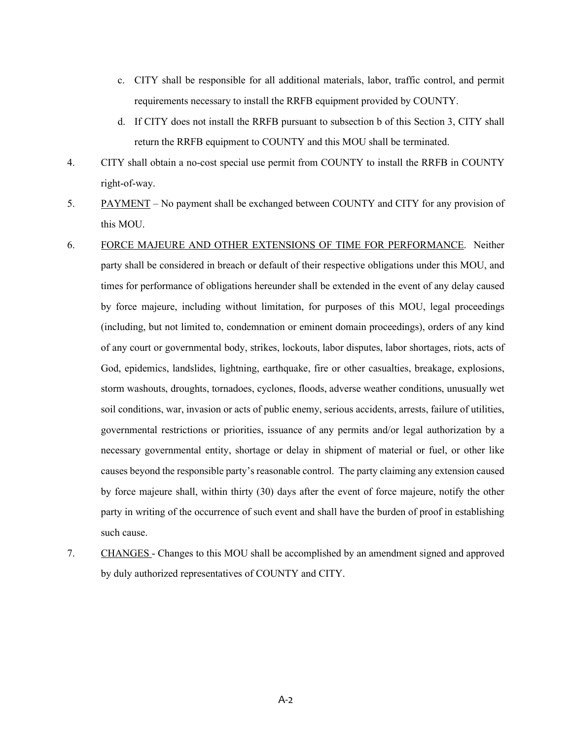- c. CITY shall be responsible for all additional materials, labor, traffic control, and permit requirements necessary to install the RRFB equipment provided by COUNTY.
- d. If CITY does not install the RRFB pursuant to subsection b of this Section 3, CITY shall return the RRFB equipment to COUNTY and this MOU shall be terminated.
- 4. CITY shall obtain a no-cost special use permit from COUNTY to install the RRFB in COUNTY right-of-way.
- 5. PAYMENT No payment shall be exchanged between COUNTY and CITY for any provision of this MOU.
- 6. FORCE MAJEURE AND OTHER EXTENSIONS OF TIME FOR PERFORMANCE. Neither party shall be considered in breach or default of their respective obligations under this MOU, and times for performance of obligations hereunder shall be extended in the event of any delay caused by force majeure, including without limitation, for purposes of this MOU, legal proceedings (including, but not limited to, condemnation or eminent domain proceedings), orders of any kind of any court or governmental body, strikes, lockouts, labor disputes, labor shortages, riots, acts of God, epidemics, landslides, lightning, earthquake, fire or other casualties, breakage, explosions, storm washouts, droughts, tornadoes, cyclones, floods, adverse weather conditions, unusually wet soil conditions, war, invasion or acts of public enemy, serious accidents, arrests, failure of utilities, governmental restrictions or priorities, issuance of any permits and/or legal authorization by a necessary governmental entity, shortage or delay in shipment of material or fuel, or other like causes beyond the responsible party's reasonable control. The party claiming any extension caused by force majeure shall, within thirty (30) days after the event of force majeure, notify the other party in writing of the occurrence of such event and shall have the burden of proof in establishing such cause.
- 7. CHANGES Changes to this MOU shall be accomplished by an amendment signed and approved by duly authorized representatives of COUNTY and CITY.